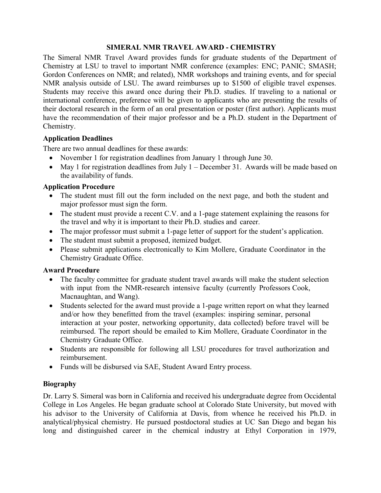## **SIMERAL NMR TRAVEL AWARD - CHEMISTRY**

 The Simeral NMR Travel Award provides funds for graduate students of the Department of Chemistry at LSU to travel to important NMR conference (examples: ENC; PANIC; SMASH; Gordon Conferences on NMR; and related), NMR workshops and training events, and for special NMR analysis outside of LSU. The award reimburses up to \$1500 of eligible travel expenses. Students may receive this award once during their Ph.D. studies. If traveling to a national or international conference, preference will be given to applicants who are presenting the results of their doctoral research in the form of an oral presentation or poster (first author). Applicants must have the recommendation of their major professor and be a Ph.D. student in the Department of Chemistry.

## **Application Deadlines**

There are two annual deadlines for these awards:

- November 1 for registration deadlines from January 1 through June 30.
- May 1 for registration deadlines from July 1 December 31. Awards will be made based on the availability of funds.

## **Application Procedure**

- • The student must fill out the form included on the next page, and both the student and major professor must sign the form.
- • The student must provide a recent C.V. and a 1-page statement explaining the reasons for the travel and why it is important to their Ph.D. studies and career.
- The major professor must submit a 1-page letter of support for the student's application.
- The student must submit a proposed, itemized budget.
- • Please submit applications electronically to Kim Mollere, Graduate Coordinator in the Chemistry Graduate Office.

#### **Award Procedure**

- • The faculty committee for graduate student travel awards will make the student selection with input from the NMR-research intensive faculty (currently Professors Cook, Macnaughtan, and Wang).
- • Students selected for the award must provide a 1-page written report on what they learned and/or how they benefitted from the travel (examples: inspiring seminar, personal interaction at your poster, networking opportunity, data collected) before travel will be reimbursed. The report should be emailed to Kim Mollere, Graduate Coordinator in the Chemistry Graduate Office.
- • Students are responsible for following all LSU procedures for travel authorization and reimbursement.
- Funds will be disbursed via SAE, Student Award Entry process.

# **Biography**

 Dr. Larry S. Simeral was born in California and received his undergraduate degree from Occidental College in Los Angeles. He began graduate school at Colorado State University, but moved with his advisor to the University of California at Davis, from whence he received his Ph.D. in analytical/physical chemistry. He pursued postdoctoral studies at UC San Diego and began his long and distinguished career in the chemical industry at Ethyl Corporation in 1979,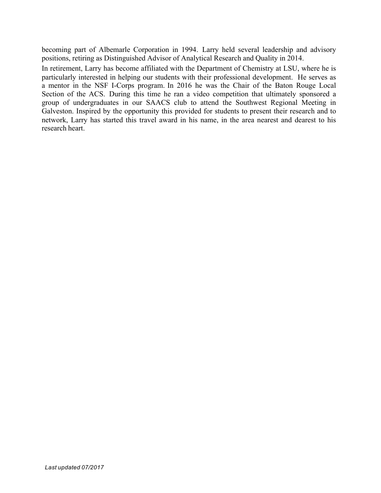becoming part of Albemarle Corporation in 1994. Larry held several leadership and advisory positions, retiring as Distinguished Advisor of Analytical Research and Quality in 2014.

 In retirement, Larry has become affiliated with the Department of Chemistry at LSU, where he is particularly interested in helping our students with their professional development. He serves as a mentor in the NSF I-Corps program. In 2016 he was the Chair of the Baton Rouge Local Section of the ACS. During this time he ran a video competition that ultimately sponsored a group of undergraduates in our SAACS club to attend the Southwest Regional Meeting in Galveston. Inspired by the opportunity this provided for students to present their research and to network, Larry has started this travel award in his name, in the area nearest and dearest to his research heart.